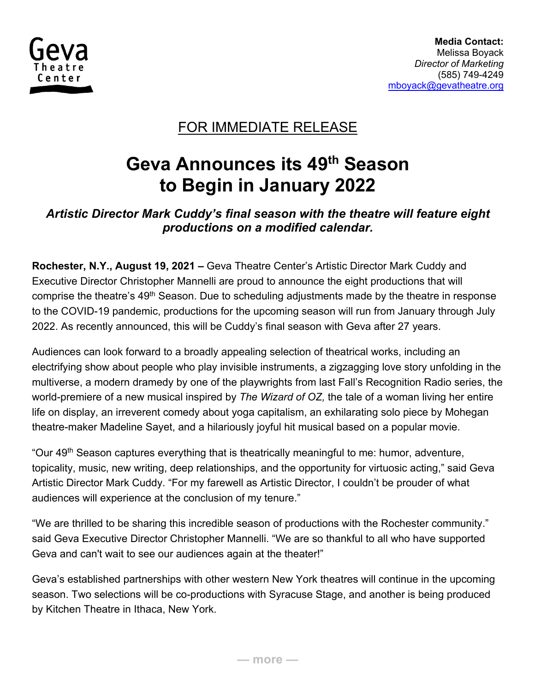

### FOR IMMEDIATE RELEASE

# **Geva Announces its 49th Season to Begin in January 2022**

### *Artistic Director Mark Cuddy's final season with the theatre will feature eight productions on a modified calendar.*

**Rochester, N.Y., August 19, 2021 –** Geva Theatre Center's Artistic Director Mark Cuddy and Executive Director Christopher Mannelli are proud to announce the eight productions that will comprise the theatre's 49<sup>th</sup> Season. Due to scheduling adjustments made by the theatre in response to the COVID-19 pandemic, productions for the upcoming season will run from January through July 2022. As recently announced, this will be Cuddy's final season with Geva after 27 years.

Audiences can look forward to a broadly appealing selection of theatrical works, including an electrifying show about people who play invisible instruments, a zigzagging love story unfolding in the multiverse, a modern dramedy by one of the playwrights from last Fall's Recognition Radio series, the world-premiere of a new musical inspired by *The Wizard of OZ,* the tale of a woman living her entire life on display, an irreverent comedy about yoga capitalism, an exhilarating solo piece by Mohegan theatre-maker Madeline Sayet, and a hilariously joyful hit musical based on a popular movie.

"Our 49<sup>th</sup> Season captures everything that is theatrically meaningful to me: humor, adventure, topicality, music, new writing, deep relationships, and the opportunity for virtuosic acting," said Geva Artistic Director Mark Cuddy. "For my farewell as Artistic Director, I couldn't be prouder of what audiences will experience at the conclusion of my tenure."

"We are thrilled to be sharing this incredible season of productions with the Rochester community." said Geva Executive Director Christopher Mannelli. "We are so thankful to all who have supported Geva and can't wait to see our audiences again at the theater!"

Geva's established partnerships with other western New York theatres will continue in the upcoming season. Two selections will be co-productions with Syracuse Stage, and another is being produced by Kitchen Theatre in Ithaca, New York.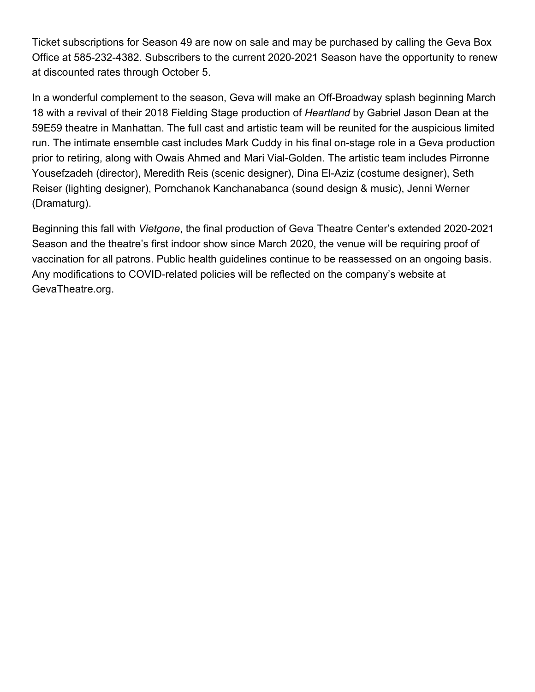Ticket subscriptions for Season 49 are now on sale and may be purchased by calling the Geva Box Office at 585-232-4382. Subscribers to the current 2020-2021 Season have the opportunity to renew at discounted rates through October 5.

In a wonderful complement to the season, Geva will make an Off-Broadway splash beginning March 18 with a revival of their 2018 Fielding Stage production of *Heartland* by Gabriel Jason Dean at the 59E59 theatre in Manhattan. The full cast and artistic team will be reunited for the auspicious limited run. The intimate ensemble cast includes Mark Cuddy in his final on-stage role in a Geva production prior to retiring, along with Owais Ahmed and Mari Vial-Golden. The artistic team includes Pirronne Yousefzadeh (director), Meredith Reis (scenic designer), Dina El-Aziz (costume designer), Seth Reiser (lighting designer), Pornchanok Kanchanabanca (sound design & music), Jenni Werner (Dramaturg).

Beginning this fall with *Vietgone*, the final production of Geva Theatre Center's extended 2020-2021 Season and the theatre's first indoor show since March 2020, the venue will be requiring proof of vaccination for all patrons. Public health guidelines continue to be reassessed on an ongoing basis. Any modifications to COVID-related policies will be reflected on the company's website at GevaTheatre.org.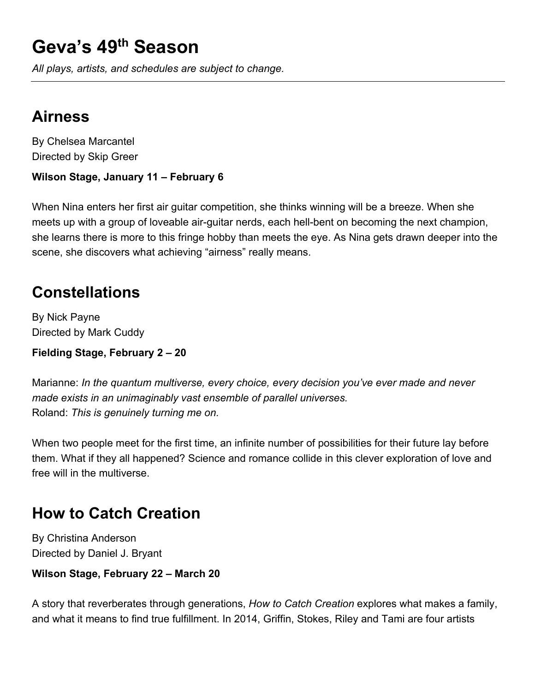# **Geva's 49th Season**

*All plays, artists, and schedules are subject to change.*

### **Airness**

By Chelsea Marcantel Directed by Skip Greer

#### **Wilson Stage, January 11 – February 6**

When Nina enters her first air guitar competition, she thinks winning will be a breeze. When she meets up with a group of loveable air-guitar nerds, each hell-bent on becoming the next champion, she learns there is more to this fringe hobby than meets the eye. As Nina gets drawn deeper into the scene, she discovers what achieving "airness" really means.

## **Constellations**

By Nick Payne Directed by Mark Cuddy

#### **Fielding Stage, February 2 – 20**

Marianne: *In the quantum multiverse, every choice, every decision you've ever made and never made exists in an unimaginably vast ensemble of parallel universes.* Roland: *This is genuinely turning me on.*

When two people meet for the first time, an infinite number of possibilities for their future lay before them. What if they all happened? Science and romance collide in this clever exploration of love and free will in the multiverse.

## **How to Catch Creation**

By Christina Anderson Directed by Daniel J. Bryant

**Wilson Stage, February 22 – March 20**

A story that reverberates through generations, *How to Catch Creation* explores what makes a family, and what it means to find true fulfillment. In 2014, Griffin, Stokes, Riley and Tami are four artists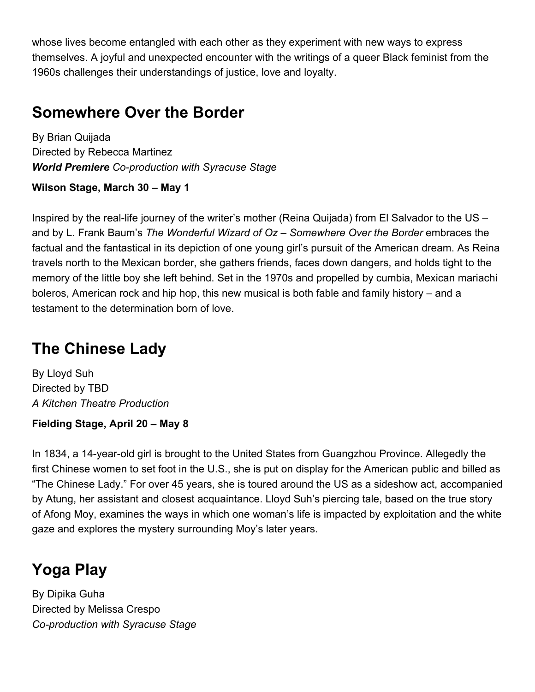whose lives become entangled with each other as they experiment with new ways to express themselves. A joyful and unexpected encounter with the writings of a queer Black feminist from the 1960s challenges their understandings of justice, love and loyalty.

### **Somewhere Over the Border**

By Brian Quijada Directed by Rebecca Martinez *World Premiere Co-production with Syracuse Stage*

#### **Wilson Stage, March 30 – May 1**

Inspired by the real-life journey of the writer's mother (Reina Quijada) from El Salvador to the US – and by L. Frank Baum's *The Wonderful Wizard of Oz* – *Somewhere Over the Border* embraces the factual and the fantastical in its depiction of one young girl's pursuit of the American dream. As Reina travels north to the Mexican border, she gathers friends, faces down dangers, and holds tight to the memory of the little boy she left behind. Set in the 1970s and propelled by cumbia, Mexican mariachi boleros, American rock and hip hop, this new musical is both fable and family history – and a testament to the determination born of love.

### **The Chinese Lady**

By Lloyd Suh Directed by TBD *A Kitchen Theatre Production*

#### **Fielding Stage, April 20 – May 8**

In 1834, a 14-year-old girl is brought to the United States from Guangzhou Province. Allegedly the first Chinese women to set foot in the U.S., she is put on display for the American public and billed as "The Chinese Lady." For over 45 years, she is toured around the US as a sideshow act, accompanied by Atung, her assistant and closest acquaintance. Lloyd Suh's piercing tale, based on the true story of Afong Moy, examines the ways in which one woman's life is impacted by exploitation and the white gaze and explores the mystery surrounding Moy's later years.

### **Yoga Play**

By Dipika Guha Directed by Melissa Crespo *Co-production with Syracuse Stage*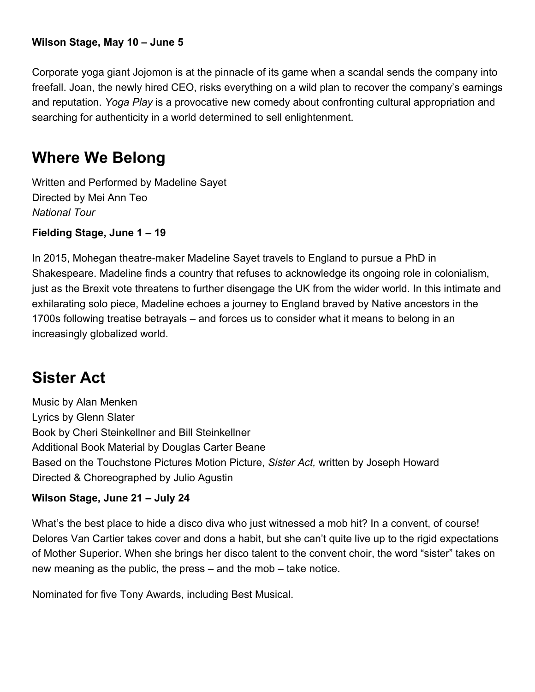#### **Wilson Stage, May 10 – June 5**

Corporate yoga giant Jojomon is at the pinnacle of its game when a scandal sends the company into freefall. Joan, the newly hired CEO, risks everything on a wild plan to recover the company's earnings and reputation. *Yoga Play* is a provocative new comedy about confronting cultural appropriation and searching for authenticity in a world determined to sell enlightenment.

### **Where We Belong**

Written and Performed by Madeline Sayet Directed by Mei Ann Teo *National Tour*

**Fielding Stage, June 1 – 19**

In 2015, Mohegan theatre-maker Madeline Sayet travels to England to pursue a PhD in Shakespeare. Madeline finds a country that refuses to acknowledge its ongoing role in colonialism, just as the Brexit vote threatens to further disengage the UK from the wider world. In this intimate and exhilarating solo piece, Madeline echoes a journey to England braved by Native ancestors in the 1700s following treatise betrayals – and forces us to consider what it means to belong in an increasingly globalized world.

### **Sister Act**

Music by Alan Menken Lyrics by Glenn Slater Book by Cheri Steinkellner and Bill Steinkellner Additional Book Material by Douglas Carter Beane Based on the Touchstone Pictures Motion Picture, *Sister Act,* written by Joseph Howard Directed & Choreographed by Julio Agustin

#### **Wilson Stage, June 21 – July 24**

What's the best place to hide a disco diva who just witnessed a mob hit? In a convent, of course! Delores Van Cartier takes cover and dons a habit, but she can't quite live up to the rigid expectations of Mother Superior. When she brings her disco talent to the convent choir, the word "sister" takes on new meaning as the public, the press – and the mob – take notice.

Nominated for five Tony Awards, including Best Musical.